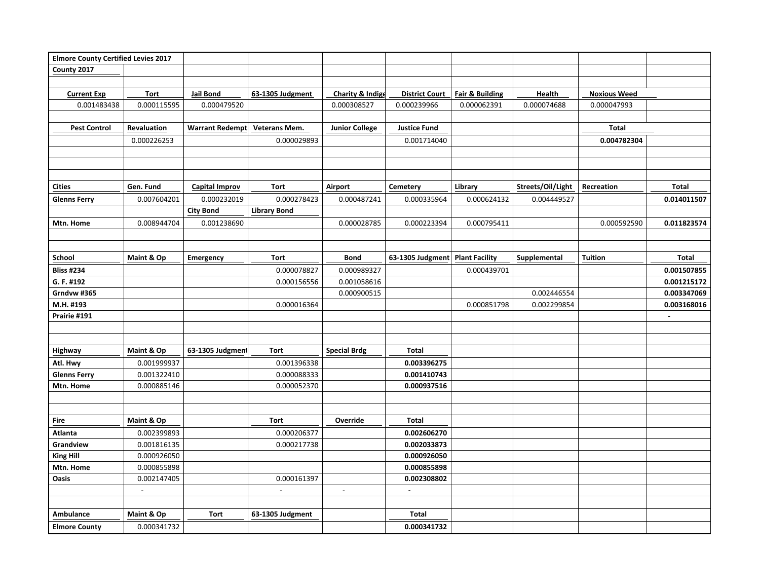| <b>Elmore County Certified Levies 2017</b> |                            |                        |                            |                             |                            |                            |                   |                     |              |
|--------------------------------------------|----------------------------|------------------------|----------------------------|-----------------------------|----------------------------|----------------------------|-------------------|---------------------|--------------|
| County 2017                                |                            |                        |                            |                             |                            |                            |                   |                     |              |
|                                            |                            |                        |                            |                             |                            |                            |                   |                     |              |
| <b>Current Exp</b>                         | <b>Tort</b>                | Jail Bond              | 63-1305 Judgment           | <b>Charity &amp; Indige</b> | <b>District Court</b>      | <b>Fair &amp; Building</b> | Health            | <b>Noxious Weed</b> |              |
| 0.001483438                                | 0.000115595                | 0.000479520            |                            | 0.000308527                 | 0.000239966                | 0.000062391                | 0.000074688       | 0.000047993         |              |
|                                            |                            |                        |                            |                             |                            |                            |                   |                     |              |
| <b>Pest Control</b>                        | Revaluation                | <b>Warrant Redempt</b> | <b>Veterans Mem.</b>       | <b>Junior College</b>       | <b>Justice Fund</b>        |                            |                   | <b>Total</b>        |              |
|                                            | 0.000226253                |                        | 0.000029893                |                             | 0.001714040                |                            |                   | 0.004782304         |              |
|                                            |                            |                        |                            |                             |                            |                            |                   |                     |              |
|                                            |                            |                        |                            |                             |                            |                            |                   |                     |              |
|                                            |                            |                        |                            |                             |                            |                            |                   |                     |              |
| <b>Cities</b>                              | Gen. Fund                  | <b>Capital Improv</b>  | <b>Tort</b>                | Airport                     | Cemetery                   | Library                    | Streets/Oil/Light | Recreation          | <b>Total</b> |
| <b>Glenns Ferry</b>                        | 0.007604201                | 0.000232019            | 0.000278423                | 0.000487241                 | 0.000335964                | 0.000624132                | 0.004449527       |                     | 0.014011507  |
|                                            |                            | <b>City Bond</b>       | <b>Library Bond</b>        |                             |                            |                            |                   |                     |              |
| Mtn. Home                                  | 0.008944704                | 0.001238690            |                            | 0.000028785                 | 0.000223394                | 0.000795411                |                   | 0.000592590         | 0.011823574  |
|                                            |                            |                        |                            |                             |                            |                            |                   |                     |              |
|                                            |                            |                        |                            |                             |                            |                            |                   |                     |              |
| School                                     | Maint & Op                 | <b>Emergency</b>       | Tort                       | <b>Bond</b>                 | 63-1305 Judgment           | <b>Plant Facility</b>      | Supplemental      | <b>Tuition</b>      | <b>Total</b> |
| <b>Bliss #234</b>                          |                            |                        | 0.000078827                | 0.000989327                 |                            | 0.000439701                |                   |                     | 0.001507855  |
| G. F. #192                                 |                            |                        | 0.000156556                | 0.001058616                 |                            |                            |                   |                     | 0.001215172  |
| Grndvw #365                                |                            |                        |                            | 0.000900515                 |                            |                            | 0.002446554       |                     | 0.003347069  |
| M.H. #193                                  |                            |                        | 0.000016364                |                             |                            | 0.000851798                | 0.002299854       |                     | 0.003168016  |
| Prairie #191                               |                            |                        |                            |                             |                            |                            |                   |                     |              |
|                                            |                            |                        |                            |                             |                            |                            |                   |                     |              |
|                                            |                            |                        | Tort                       |                             | <b>Total</b>               |                            |                   |                     |              |
| Highway                                    | Maint & Op                 | 63-1305 Judgment       |                            | <b>Special Brdg</b>         |                            |                            |                   |                     |              |
| Atl. Hwy                                   | 0.001999937<br>0.001322410 |                        | 0.001396338<br>0.000088333 |                             | 0.003396275<br>0.001410743 |                            |                   |                     |              |
| <b>Glenns Ferry</b><br>Mtn. Home           | 0.000885146                |                        | 0.000052370                |                             | 0.000937516                |                            |                   |                     |              |
|                                            |                            |                        |                            |                             |                            |                            |                   |                     |              |
|                                            |                            |                        |                            |                             |                            |                            |                   |                     |              |
| Fire                                       | Maint & Op                 |                        | <b>Tort</b>                | Override                    | <b>Total</b>               |                            |                   |                     |              |
| Atlanta                                    | 0.002399893                |                        | 0.000206377                |                             | 0.002606270                |                            |                   |                     |              |
| Grandview                                  | 0.001816135                |                        | 0.000217738                |                             | 0.002033873                |                            |                   |                     |              |
| <b>King Hill</b>                           | 0.000926050                |                        |                            |                             | 0.000926050                |                            |                   |                     |              |
| Mtn. Home                                  | 0.000855898                |                        |                            |                             | 0.000855898                |                            |                   |                     |              |
| Oasis                                      | 0.002147405                |                        | 0.000161397                |                             | 0.002308802                |                            |                   |                     |              |
|                                            |                            |                        |                            |                             |                            |                            |                   |                     |              |
|                                            |                            |                        |                            |                             |                            |                            |                   |                     |              |
| <b>Ambulance</b>                           | Maint & Op                 | Tort                   | 63-1305 Judgment           |                             | <b>Total</b>               |                            |                   |                     |              |
| <b>Elmore County</b>                       | 0.000341732                |                        |                            |                             | 0.000341732                |                            |                   |                     |              |